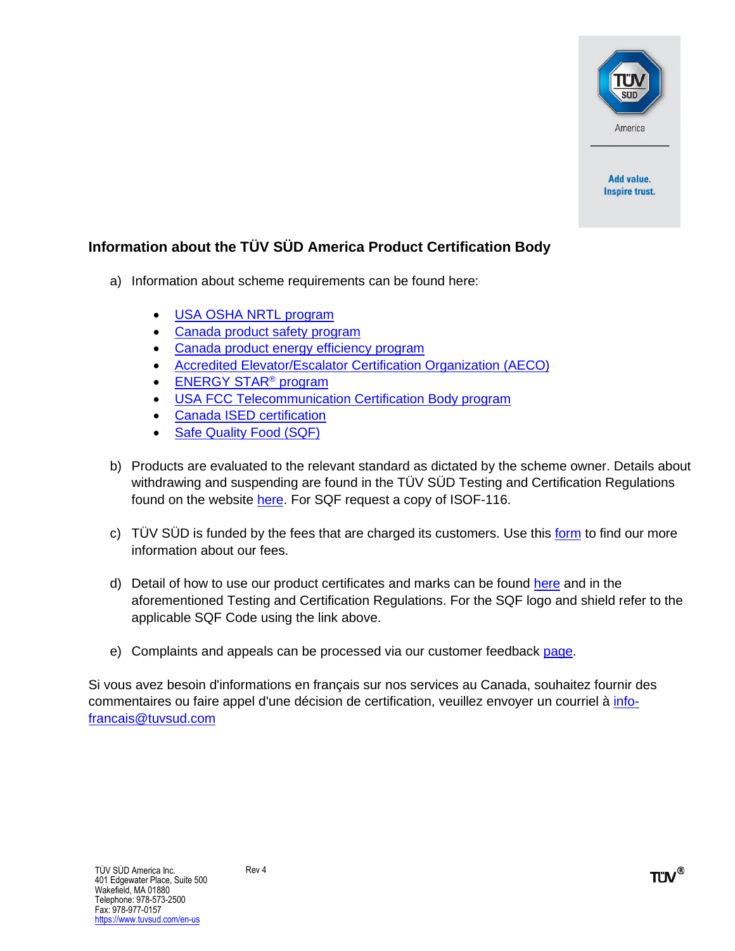

Add value. **Inspire trust.** 

## **Information about the TÜV SÜD America Product Certification Body**

- a) Information about scheme requirements can be found here:
	- [USA OSHA NRTL program](https://www.osha.gov/dts/otpca/nrtl/index.html)
	- [Canada product safety program](mailto:barry.quinlan@tuvsud.com?subject=Canada%20product%20safety%20certification%20program%20details)
	- [Canada product energy efficiency program](mailto:barry.quinlan@tuvsud.com?subject=Canada%20product%20energy%20efficiency%20verification%20program%20details)
	- [Accredited Elevator/Escalator Certification Organization \(AECO\)](https://cstools.asme.org/csconnect/FileUpload.cfm?View=yes&ID=46249)
	- [ENERGY STAR](https://www.energystar.gov/partner_resources/products_partner_resources/third_party_cert)<sup>®</sup> program
	- [USA FCC Telecommunication Certification Body program](https://www.fcc.gov/engineering-technology/laboratory-division/general/equipment-authorization)
	- [Canada ISED certification](http://www.ic.gc.ca/eic/site/ceb-bhst.nsf/eng/home)
	- [Safe Quality Food \(SQF\)](https://www.sqfi.com/what-is-the-sqf-program/)
- b) Products are evaluated to the relevant standard as dictated by the scheme owner. Details about withdrawing and suspending are found in the TÜV SÜD Testing and Certification Regulations found on the website [here](https://www.tuvsud.com/en-us/-/media/regions/us/pdf-files/customer-forms/pzo-konzern-ab1b2c1c2c3c4c5c6-englisch.pdf?la=en-us&hash=847C2F56BE55CC122A195FE761F58CC8). For SQF request a copy of ISOF-116.
- c) TÜV SÜD is funded by the fees that are charged its customers. Use this [form](https://www.tuvsud.com/en-us/contact-us) to find our more information about our fees.
- d) Detail of how to use our product certificates and marks can be found [here](https://www.tuvsud.com/en-us/-/media/regions/us/pdf-files/customer-forms/tuvsud-correct-use-of-certification-marks.pdf) and in the aforementioned Testing and Certification Regulations. For the SQF logo and shield refer to the applicable SQF Code using the link above.
- e) Complaints and appeals can be processed via our customer feedback [page](https://www.tuvsud.com/en-us/resource-centre/customer-feedback).

Si vous avez besoin d'informations en français sur nos services au Canada, souhaitez fournir des commentaires ou faire appel d'une décision de certification, veuillez envoyer un courriel à [info](mailto:info-francais@tuvsud.com)[francais@tuvsud.com](mailto:info-francais@tuvsud.com)